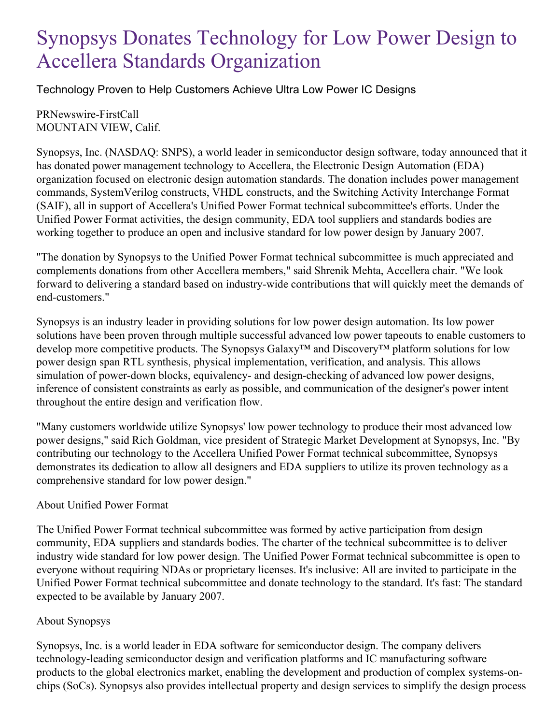## Synopsys Donates Technology for Low Power Design to Accellera Standards Organization

Technology Proven to Help Customers Achieve Ultra Low Power IC Designs

PRNewswire-FirstCall MOUNTAIN VIEW, Calif.

Synopsys, Inc. (NASDAQ: SNPS), a world leader in semiconductor design software, today announced that it has donated power management technology to Accellera, the Electronic Design Automation (EDA) organization focused on electronic design automation standards. The donation includes power management commands, SystemVerilog constructs, VHDL constructs, and the Switching Activity Interchange Format (SAIF), all in support of Accellera's Unified Power Format technical subcommittee's efforts. Under the Unified Power Format activities, the design community, EDA tool suppliers and standards bodies are working together to produce an open and inclusive standard for low power design by January 2007.

"The donation by Synopsys to the Unified Power Format technical subcommittee is much appreciated and complements donations from other Accellera members," said Shrenik Mehta, Accellera chair. "We look forward to delivering a standard based on industry-wide contributions that will quickly meet the demands of end-customers."

Synopsys is an industry leader in providing solutions for low power design automation. Its low power solutions have been proven through multiple successful advanced low power tapeouts to enable customers to develop more competitive products. The Synopsys Galaxy™ and Discovery™ platform solutions for low power design span RTL synthesis, physical implementation, verification, and analysis. This allows simulation of power-down blocks, equivalency- and design-checking of advanced low power designs, inference of consistent constraints as early as possible, and communication of the designer's power intent throughout the entire design and verification flow.

"Many customers worldwide utilize Synopsys' low power technology to produce their most advanced low power designs," said Rich Goldman, vice president of Strategic Market Development at Synopsys, Inc. "By contributing our technology to the Accellera Unified Power Format technical subcommittee, Synopsys demonstrates its dedication to allow all designers and EDA suppliers to utilize its proven technology as a comprehensive standard for low power design."

## About Unified Power Format

The Unified Power Format technical subcommittee was formed by active participation from design community, EDA suppliers and standards bodies. The charter of the technical subcommittee is to deliver industry wide standard for low power design. The Unified Power Format technical subcommittee is open to everyone without requiring NDAs or proprietary licenses. It's inclusive: All are invited to participate in the Unified Power Format technical subcommittee and donate technology to the standard. It's fast: The standard expected to be available by January 2007.

## About Synopsys

Synopsys, Inc. is a world leader in EDA software for semiconductor design. The company delivers technology-leading semiconductor design and verification platforms and IC manufacturing software products to the global electronics market, enabling the development and production of complex systems-onchips (SoCs). Synopsys also provides intellectual property and design services to simplify the design process